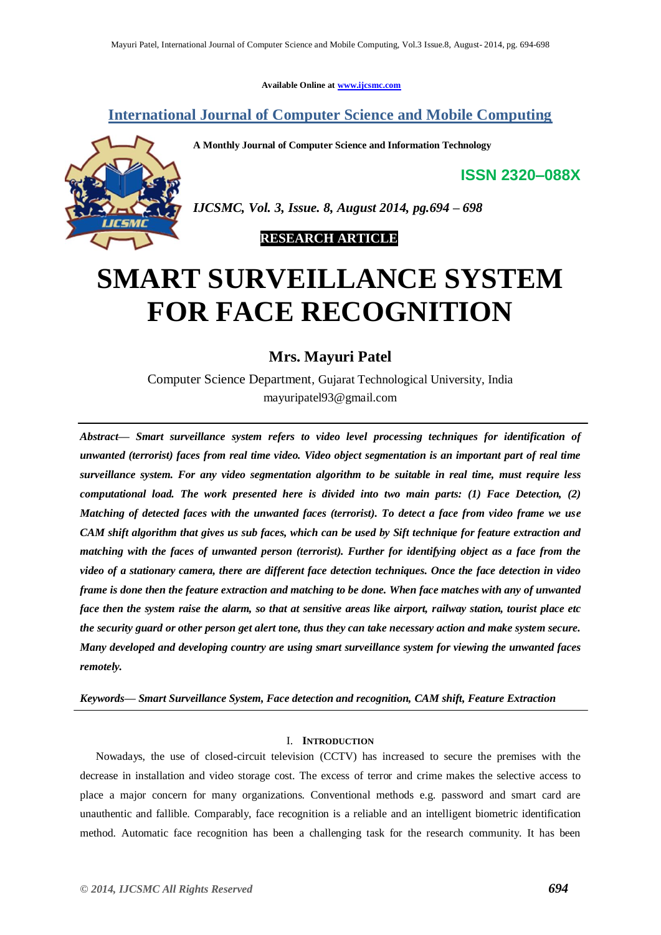**Available Online at [www.ijcsmc.com](http://www.ijcsmc.com/)**

# **International Journal of Computer Science and Mobile Computing**

**A Monthly Journal of Computer Science and Information Technology**

**ISSN 2320–088X**



*IJCSMC, Vol. 3, Issue. 8, August 2014, pg.694 – 698*

 **RESEARCH ARTICLE**

# **SMART SURVEILLANCE SYSTEM FOR FACE RECOGNITION**

## **Mrs. Mayuri Patel**

Computer Science Department, Gujarat Technological University, India mayuripatel93@gmail.com

*Abstract— Smart surveillance system refers to video level processing techniques for identification of unwanted (terrorist) faces from real time video. Video object segmentation is an important part of real time surveillance system. For any video segmentation algorithm to be suitable in real time, must require less computational load. The work presented here is divided into two main parts: (1) Face Detection, (2) Matching of detected faces with the unwanted faces (terrorist). To detect a face from video frame we use CAM shift algorithm that gives us sub faces, which can be used by Sift technique for feature extraction and matching with the faces of unwanted person (terrorist). Further for identifying object as a face from the video of a stationary camera, there are different face detection techniques. Once the face detection in video frame is done then the feature extraction and matching to be done. When face matches with any of unwanted face then the system raise the alarm, so that at sensitive areas like airport, railway station, tourist place etc the security guard or other person get alert tone, thus they can take necessary action and make system secure. Many developed and developing country are using smart surveillance system for viewing the unwanted faces remotely.*

*Keywords— Smart Surveillance System, Face detection and recognition, CAM shift, Feature Extraction*

### I. **INTRODUCTION**

Nowadays, the use of closed-circuit television (CCTV) has increased to secure the premises with the decrease in installation and video storage cost. The excess of terror and crime makes the selective access to place a major concern for many organizations. Conventional methods e.g. password and smart card are unauthentic and fallible. Comparably, face recognition is a reliable and an intelligent biometric identification method. Automatic face recognition has been a challenging task for the research community. It has been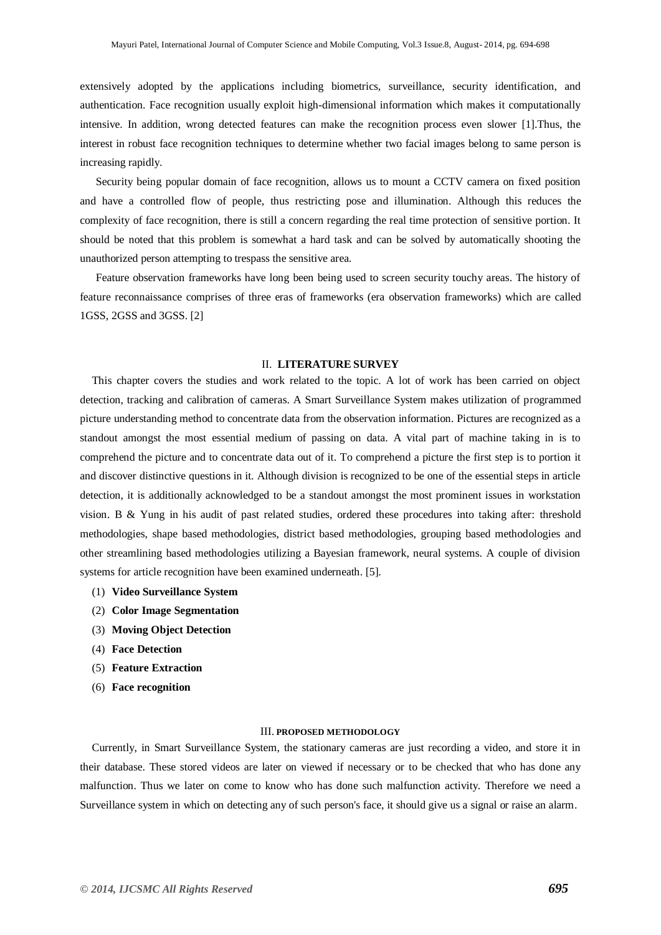extensively adopted by the applications including biometrics, surveillance, security identification, and authentication. Face recognition usually exploit high-dimensional information which makes it computationally intensive. In addition, wrong detected features can make the recognition process even slower [1].Thus, the interest in robust face recognition techniques to determine whether two facial images belong to same person is increasing rapidly.

Security being popular domain of face recognition, allows us to mount a CCTV camera on fixed position and have a controlled flow of people, thus restricting pose and illumination. Although this reduces the complexity of face recognition, there is still a concern regarding the real time protection of sensitive portion. It should be noted that this problem is somewhat a hard task and can be solved by automatically shooting the unauthorized person attempting to trespass the sensitive area.

Feature observation frameworks have long been being used to screen security touchy areas. The history of feature reconnaissance comprises of three eras of frameworks (era observation frameworks) which are called 1GSS, 2GSS and 3GSS. [2]

#### II. **LITERATURE SURVEY**

This chapter covers the studies and work related to the topic. A lot of work has been carried on object detection, tracking and calibration of cameras. A Smart Surveillance System makes utilization of programmed picture understanding method to concentrate data from the observation information. Pictures are recognized as a standout amongst the most essential medium of passing on data. A vital part of machine taking in is to comprehend the picture and to concentrate data out of it. To comprehend a picture the first step is to portion it and discover distinctive questions in it. Although division is recognized to be one of the essential steps in article detection, it is additionally acknowledged to be a standout amongst the most prominent issues in workstation vision. B & Yung in his audit of past related studies, ordered these procedures into taking after: threshold methodologies, shape based methodologies, district based methodologies, grouping based methodologies and other streamlining based methodologies utilizing a Bayesian framework, neural systems. A couple of division systems for article recognition have been examined underneath. [5].

- (1) **Video Surveillance System**
- (2) **Color Image Segmentation**
- (3) **Moving Object Detection**
- (4) **Face Detection**
- (5) **Feature Extraction**
- (6) **Face recognition**

#### III. **PROPOSED METHODOLOGY**

Currently, in Smart Surveillance System, the stationary cameras are just recording a video, and store it in their database. These stored videos are later on viewed if necessary or to be checked that who has done any malfunction. Thus we later on come to know who has done such malfunction activity. Therefore we need a Surveillance system in which on detecting any of such person's face, it should give us a signal or raise an alarm.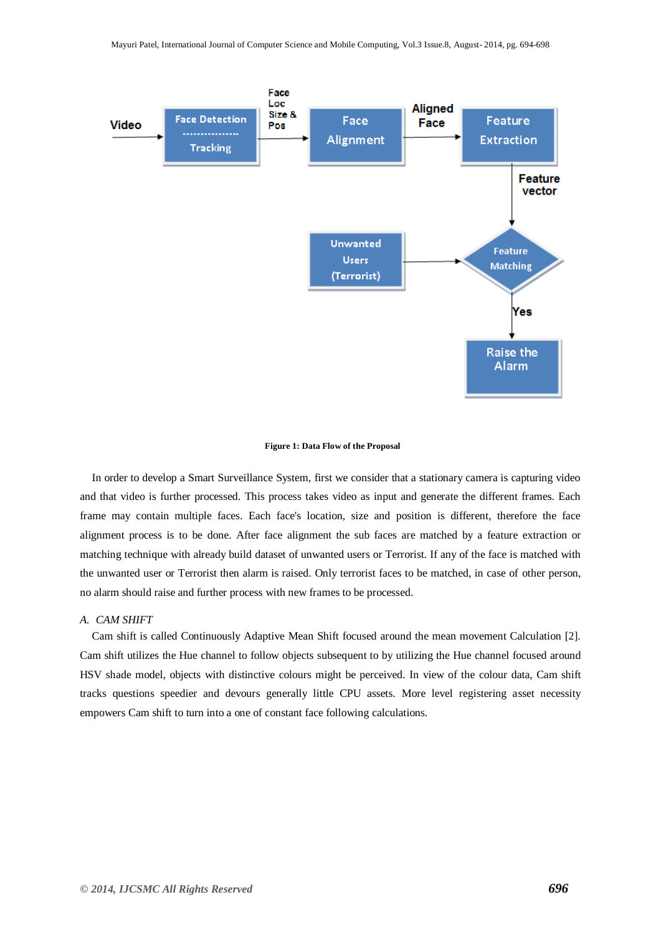

#### **Figure 1: Data Flow of the Proposal**

In order to develop a Smart Surveillance System, first we consider that a stationary camera is capturing video and that video is further processed. This process takes video as input and generate the different frames. Each frame may contain multiple faces. Each face's location, size and position is different, therefore the face alignment process is to be done. After face alignment the sub faces are matched by a feature extraction or matching technique with already build dataset of unwanted users or Terrorist. If any of the face is matched with the unwanted user or Terrorist then alarm is raised. Only terrorist faces to be matched, in case of other person, no alarm should raise and further process with new frames to be processed.

#### *A. CAM SHIFT*

Cam shift is called Continuously Adaptive Mean Shift focused around the mean movement Calculation [2]. Cam shift utilizes the Hue channel to follow objects subsequent to by utilizing the Hue channel focused around HSV shade model, objects with distinctive colours might be perceived. In view of the colour data, Cam shift tracks questions speedier and devours generally little CPU assets. More level registering asset necessity empowers Cam shift to turn into a one of constant face following calculations.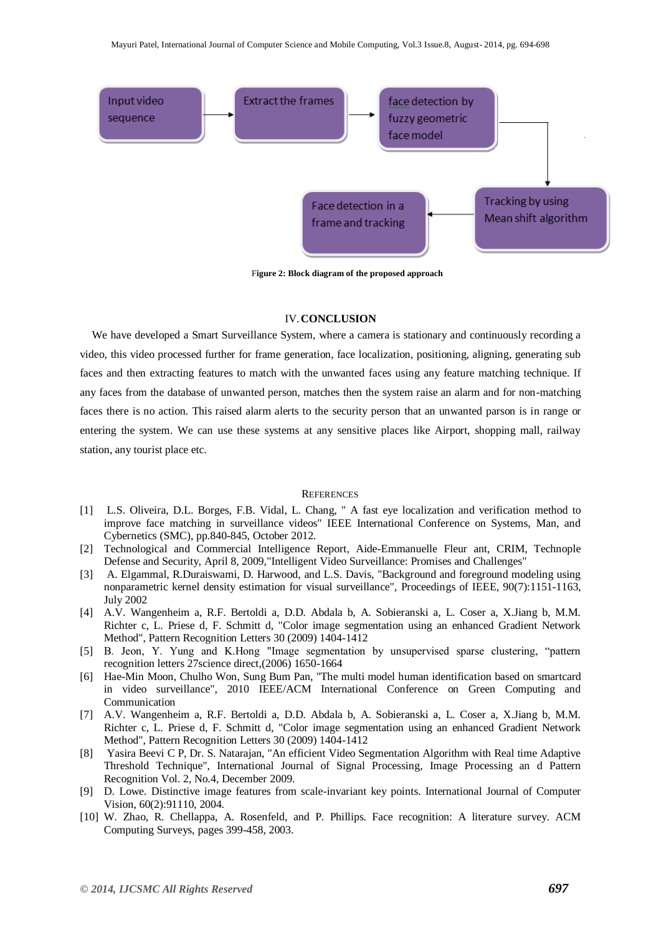

F**igure 2: Block diagram of the proposed approach**

## IV.**CONCLUSION**

We have developed a Smart Surveillance System, where a camera is stationary and continuously recording a video, this video processed further for frame generation, face localization, positioning, aligning, generating sub faces and then extracting features to match with the unwanted faces using any feature matching technique. If any faces from the database of unwanted person, matches then the system raise an alarm and for non-matching faces there is no action. This raised alarm alerts to the security person that an unwanted parson is in range or entering the system. We can use these systems at any sensitive places like Airport, shopping mall, railway station, any tourist place etc.

#### **REFERENCES**

- [1] L.S. Oliveira, D.L. Borges, F.B. Vidal, L. Chang, " A fast eye localization and verification method to improve face matching in surveillance videos" IEEE International Conference on Systems, Man, and Cybernetics (SMC), pp.840-845, October 2012.
- [2] Technological and Commercial Intelligence Report, Aide-Emmanuelle Fleur ant, CRIM, Technople Defense and Security, April 8, 2009,"Intelligent Video Surveillance: Promises and Challenges"
- [3] A. Elgammal, R.Duraiswami, D. Harwood, and L.S. Davis, "Background and foreground modeling using nonparametric kernel density estimation for visual surveillance", Proceedings of IEEE, 90(7):1151-1163, July 2002
- [4] A.V. Wangenheim a, R.F. Bertoldi a, D.D. Abdala b, A. Sobieranski a, L. Coser a, X.Jiang b, M.M. Richter c, L. Priese d, F. Schmitt d, "Color image segmentation using an enhanced Gradient Network Method", Pattern Recognition Letters 30 (2009) 1404-1412
- [5] B. Jeon, Y. Yung and K.Hong "Image segmentation by unsupervised sparse clustering, "pattern recognition letters 27science direct,(2006) 1650-1664
- [6] Hae-Min Moon, Chulho Won, Sung Bum Pan, "The multi model human identification based on smartcard in video surveillance", 2010 IEEE/ACM International Conference on Green Computing and Communication
- [7] A.V. Wangenheim a, R.F. Bertoldi a, D.D. Abdala b, A. Sobieranski a, L. Coser a, X.Jiang b, M.M. Richter c, L. Priese d, F. Schmitt d, "Color image segmentation using an enhanced Gradient Network Method", Pattern Recognition Letters 30 (2009) 1404-1412
- [8] Yasira Beevi C P, Dr. S. Natarajan, "An efficient Video Segmentation Algorithm with Real time Adaptive Threshold Technique", International Journal of Signal Processing, Image Processing an d Pattern Recognition Vol. 2, No.4, December 2009.
- [9] D. Lowe. Distinctive image features from scale-invariant key points. International Journal of Computer Vision, 60(2):91110, 2004.
- [10] W. Zhao, R. Chellappa, A. Rosenfeld, and P. Phillips. Face recognition: A literature survey. ACM Computing Surveys, pages 399-458, 2003.